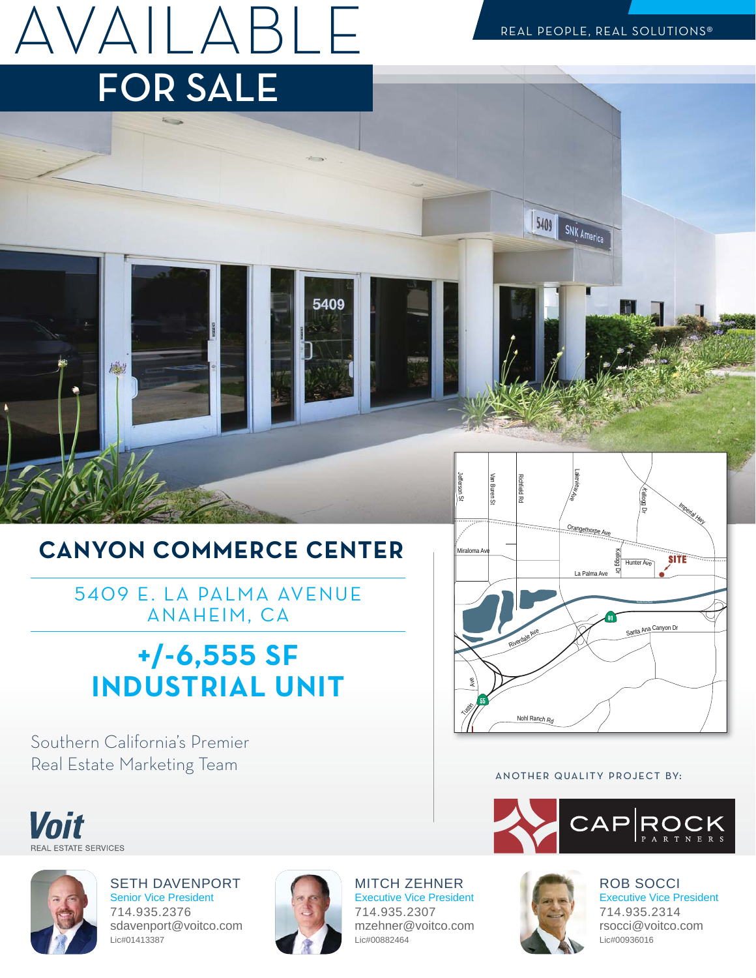AVAILABLE FOR SALE

 $5409$ 

SNK America

## **CANYON COMMERCE CENTER**

5409 E. LA PALMA AVENUE ANAHEIM, CA

## **-/-SF INDUSTRIALUNIT**

Southern California's Premier Real Estate Marketing Team

機



#### ANOTHER QUALITY PROJECT BY:





Voit

**ESTATE SERVICES** 

SETH DAVENPORT Senior Vice President 714.935.2376 sdavenport@voitco.com Lic#01413387



5409

MITCH ZEHNER Executive Vice President 714.935.2307 mzehner@voitco.com Lic#00882464



ROB SOCCI Executive Vice President 714.935.2314 rsocci@voitco.com Lic#00936016